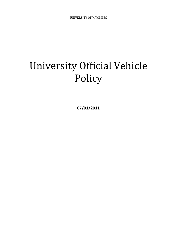# University Official Vehicle Policy

**07/01/2011**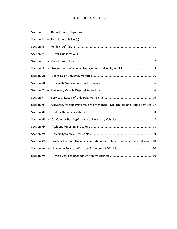# TABLE OF CONTENTS

| Section I   |                                                                                           |
|-------------|-------------------------------------------------------------------------------------------|
| Section II  |                                                                                           |
| Section III |                                                                                           |
| Section IV  |                                                                                           |
| Section V   |                                                                                           |
| Section VI  | - Procurement of New or Replacement University Vehicles 5                                 |
|             |                                                                                           |
|             |                                                                                           |
| Section IX  |                                                                                           |
| Section X   |                                                                                           |
|             | Section XI - University Vehicle Preventive Maintenance (PM) Program and Repair Services 7 |
|             |                                                                                           |
|             |                                                                                           |
|             |                                                                                           |
|             |                                                                                           |
|             | Section XVI - Cowboy Joe Club, University Foundation and Department Courtesy Vehicles  10 |
|             |                                                                                           |
|             |                                                                                           |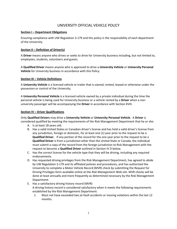# UNIVERSITY OFFICIAL VEHICLE POLICY

#### **Section I – Department Obligations**

Ensuring compliance with UW Regulation 3-179 and this policy is the responsibility of each department of the University.

# **Section II – Definition of Driver(s)**

A **Driver** means anyone who drives or seeks to drive for University business including, but not limited to, employees, students, volunteers and guests.

A **Qualified Driver** means anyone who is approved to drive a **University Vehicle** or **University Personal Vehicle** for University business in accordance with this Policy.

#### **Section III – Vehicle Definitions**

A **University Vehicle** is a licensed vehicle or trailer that is owned, rented, leased or otherwise under the possession or control of the University.

A **University Personal Vehicle** is a licensed vehicle owned by a private individual during the time the personal vehicle is being used for University business or a vehicle rented by a **Driver** when a nonuniversity passenger will be accompanying the **Driver** in accordance with Section XVIII.

#### **Section IV – Driver Qualifications**

Only **Qualified Drivers** may drive a **University Vehicle** or **University Personal Vehicle**. A **Driver** is considered qualified by meeting the requirements of the Risk Management Department that he or she:

- A. Is at least 18 years old.
- B. Has a valid United States or Canadian driver's license and has held a valid driver's license from any jurisdiction, foreign or domestic, for at least one (1) year prior to the request to be a **Qualified Driver**. If any portion of the record for the one year prior to the request to be a **Qualified Driver** is from a jurisdiction other than the United State or Canada, the individual must submit a copy of the record from the foreign jurisdiction to Risk Management with the request to become a **Qualified Driver** outlined in Section IV D below.
- C. Has the correct license for the vehicle type that they will be driving, including any required endorsements.
- D. Has requested driving privileges from the Risk Management Department, has agreed to abide by UW Regulation 3-179 and its affiliated policies and procedures, and has authorized the University to complete a Motor Vehicle Record (MVR) check by submitting the Request for Driving Privileges form available online at the *Risk Management Web site.* MVR checks will be done at least annually and more frequently as determined necessary by the Risk Management Department.
- E. Has a satisfactory driving history record (MVR) A driving history record is considered satisfactory when it meets the following requirements established by the Risk Management Department:
	- 1. Must not have exceeded two at-fault accidents or moving violations within the last 12 months.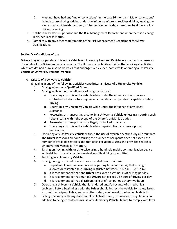- 2. Must not have had any "major convictions" in the past 36 months. "Major convictions" include drunk driving, driving under the influence of drugs, reckless driving, leaving the scene of an accident/hit and run, motor vehicle homicide, attempting to elude a police officer, or racing.
- F. Notifies the **Driver's** supervisor and the Risk Management Department when there is a change in his/her license status.
- G. Complies with any other requirements of the Risk Management Department for **Driver** Qualifications.

# **Section V – Conditions of Use**

**Drivers** may only operate a **University Vehicle** or **University Personal Vehicle** in a manner that ensures the safety of the **Driver** and any occupants. The University prohibits activities that are illegal, activities which are defined as misuse or activities that endanger vehicle occupants while operating a **University Vehicle** or **University Personal Vehicle**.

A. Misuse of a **University Vehicle**:

Engaging in any of the following activities constitutes a misuse of a **University Vehicle**:

- 1. Driving when not a **Qualified Driver.**
- 2. Driving while under the influence of drugs or alcohol:
	- a. Operating any **University Vehicle** while under the influence of alcohol or a controlled substance to a degree which renders the operator incapable of safely driving.
	- b. Operating any **University Vehicle** while under the influence of any illegal substance.
	- c. Possessing or transporting alcohol in a **University Vehicle** unless transporting such substances is within the scope of the **Driver's** official job duties.
	- d. Possessing or transporting any illegal, controlled substance.
	- e. Operating any **University Vehicle** while impaired from any prescription medication.
- 3. Operating any **University Vehicle** without the use of available seatbelts by all occupants. The **Driver** is responsible for ensuring the number of occupants does not exceed the number of available seatbelts and that each occupant is using the provided seatbelts whenever the vehicle is in motion.
- 4. Talking on, texting with, or otherwise using a handheld mobile communication device while driving. Use of a hands-free device while driving is permitted.
- 5. Smoking in a **University Vehicle.**
- 6. Driving during restricted hours or for extended periods of time:
	- a. Departments may impose policies regarding hours of the day that driving is allowed or restricted (e.g. driving restricted between 1:00 a.m. – 5:00 a.m.).
	- b. It is recommended that one **Driver** not exceed eight hours of driving per day.
	- c. It is recommended that multiple **Drivers** not exceed 16 hours of driving per day.
	- d. It is recommended that all **Drivers** take brief rest periods every two hours.
- 7. Operating a **University Vehicle** that is rendered unsafe because of a mechanical problem. Before beginning a trip, the **Driver** should inspect the vehicle for safety issues such as tires, wipers, lights, and any other safety equipment for observable defects.
- 8. Failing to comply with any state's applicable traffic laws, ordinances or regulations. In addition to being considered misuse of a **University Vehicle**, failure to comply with laws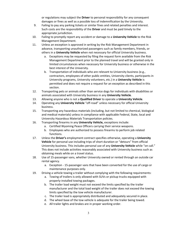or regulations may subject the **Driver** to personal responsibility for any consequent damages or fines as well as a possible loss of indemnification by the University.

- 9. Failing to pay any parking tickets or similar fines and related penalties and interest. Such costs are the responsibility of the **Driver** and must be paid timely to the appropriate jurisdiction.
- 10. Failing to promptly report any accident or damage to a **University Vehicle** to the Risk Management Department.
- 11. Unless an exception is approved in writing by the Risk Management Department in advance, transporting unauthorized passengers such as family members, friends, or others in a **University Vehicle** when not necessary for official University business.
	- a. Exceptions may be requested by filing the request form available from the Risk Management Department prior to the planned travel and will be granted only in limited circumstances when necessary for University business or otherwise in the best interest of the University.
	- b. Transportation of individuals who are relevant to University business (e.g., contractors, employees of other public entities, University clients, participants in University programs, University volunteers, etc.) in a **University Vehicle** is permitted and does not require a request for an exception as described in this section.
- 12. Transporting pets or animals other than service dogs for individuals with disabilities or animals associated with University business in any **University Vehicle**.
- 13. Allowing anyone who is not a **Qualified Driver** to operate a **University Vehicle**.
- 14. Operating any **University Vehicle** "off-road" unless necessary for official University business.
- 15. Transporting any hazardous materials (including, but not limited to chemical, biological and medical materials) unless in compliance with applicable Federal, State, local and University Hazardous Materials Transportation policies.
- 16. Transporting firearms in any **University Vehicle,** exceptions include:
	- a. Certified Wyoming Peace Officers carrying their service weapons.
	- b. Employees who are authorized to possess firearms to perform job related functions.
- 17. Unless the **Driver's** employment contract specifies otherwise, operating a **University Vehicle** for personal use including trips of short duration or "detours" from official University business. This includes personal use of any **University Vehicle** while "on call." This does not include activities reasonably associated with University business such as obtaining meals while on a travel status.
- 18. Use of 15-passenger vans, whether University owned or rented through an outside car rental agency.
	- a. Exception 15-passenger vans that have been converted for the use of cargo or maintenance purposes only.
- 19. Driving a vehicle towing a trailer without complying with the following requirements:
	- a. Towing of trailers is only allowed with SUVs or pickup trucks equipped with properly-installed towing packages.
	- b. The trailer load weight must not exceed the limits specified by the trailer manufacturer and the total load weight of the trailer does not exceed the towing limits specified by the tow vehicle manufacturer.
	- c. The trailer load is appropriately distributed and adequately secured in place.
	- d. The wheel base of the tow vehicle is adequate for the trailer being towed.
	- e. All trailer lights and brakes are in proper working order.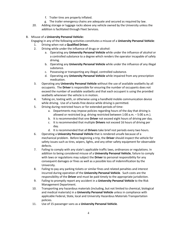- f. Trailer tires are properly inflated.
- g. The trailer emergency chains are adequate and secured as required by law.
- 20. Adding storage or luggage racks above any vehicle owned by the University unless the addition is facilitated through Fleet Services.

# B. Misuse of a **University Personal Vehicle:**

- Engaging in any of the following activities constitutes a misuse of a **University Personal Vehicle**:
	- 1. Driving when not a **Qualified Driver.**
	- 2. Driving while under the influence of drugs or alcohol:
		- a. Operating any **University Personal Vehicle** while under the influence of alcohol or a controlled substance to a degree which renders the operator incapable of safely driving.
		- b. Operating any **University Personal Vehicle** while under the influence of any illegal substance.
		- c. Possessing or transporting any illegal, controlled substance.
		- d. Operating any **University Personal Vehicle** while impaired from any prescription medication.
	- 3. Operating any **University Personal Vehicle** without the use of available seatbelts by all occupants. The **Driver** is responsible for ensuring the number of occupants does not exceed the number of available seatbelts and that each occupant is using the provided seatbelts whenever the vehicle is in motion.
	- 4. Talking on, texting with, or otherwise using a handheld mobile communication device while driving. Use of a hands-free device while driving is permitted.
	- 5. Driving during restricted hours or for extended periods of time:
		- a. Departments may impose policies regarding hours of the day that driving is allowed or restricted (e.g. driving restricted between 1:00 a.m. – 5:00 a.m.).
		- b. It is recommended that one **Driver** not exceed eight hours of driving per day.
		- c. It is recommended that multiple **Drivers** not exceed 16 hours of driving per day.
		- d. It is recommended that all **Drivers** take brief rest periods every two hours.
	- 6. Operating a **University Personal Vehicle** that is rendered unsafe because of a mechanical problem. Before beginning a trip, the **Driver** should inspect the vehicle for safety issues such as tires, wipers, lights, and any other safety equipment for observable defects.
	- 7. Failing to comply with any state's applicable traffic laws, ordinances or regulations. In addition to being considered misuse of a **University Personal Vehicle**, failure to comply with laws or regulations may subject the **Driver** to personal responsibility for any consequent damages or fines as well as a possible loss of indemnification by the University.
	- 8. Failing to pay any parking tickets or similar fines and related penalties and interest incurred during operation of the **University Personal Vehicle**. Such costs are the responsibility of the **Driver** and must be paid timely to the appropriate jurisdiction.
	- 9. Failing to promptly report any accident in a **University Personal Vehicle** to the Risk Management Department.
	- 10. Transporting any hazardous materials (including, but not limited to chemical, biological and medical materials) in a **University Personal Vehicle** unless in compliance with applicable Federal, State, local and University Hazardous Materials Transportation policies.
	- 11. Use of 15-passenger vans as a **University Personal Vehicle**.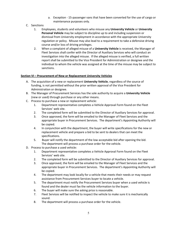- a. Exception 15-passenger vans that have been converted for the use of cargo or maintenance purposes only.
- C. Sanctions
	- 1. Employees, students and volunteers who misuse any **University Vehicle** or **University Personal Vehicle** may be subject to discipline up to and including suspension or dismissal from University employment in accordance with the appropriate University regulation or policy. Misuse may also lead to a requirement to take a defensive driving course and/or loss of driving privileges.
	- 2. When a complaint of alleged misuse of a **University Vehicle** is received, the Manager of Fleet Services shall confer with the Director of Auxiliary Services who will conduct an investigation into the alleged misuse. If the alleged misuse is verified, a full written report shall be submitted to the Vice President for Administration or designee and the individual to whom the vehicle was assigned at the time of the misuse may be subject to sanctions.

# **Section VI – Procurement of New or Replacement University Vehicles**

- A. The acquisition of a new or replacement **University Vehicle**, regardless of the source of funding, is not permitted without the prior written approval of the Vice President for Administration or designee.
- B. The Manager of Procurement Services has the sole authority to acquire a **University Vehicle** (new or used) through purchase or any other means.
- C. Process to purchase a new or replacement vehicle:
	- 1. Department representative completes a Vehicle Approval Form found on the Fleet Services' web site.
	- 2. The completed form will be submitted to the Director of Auxiliary Services for approval.
	- 3. Once approved, the form will be emailed to the Manager of Fleet Services and the appropriate buyer in Procurement Services. The department's Appointing Authority will be copied.
	- 4. In conjunction with the department, the buyer will write specifications for the new or replacement vehicle and prepare a bid to be sent to dealers that can meet the specifications.
	- 5. Buyer will notify the department of the low acceptable bid after opening the bid. The department will process a purchase order for the vehicle.
- D. Process to purchase a used vehicle:
	- 1. Department representative completes a Vehicle Approval Form found on the Fleet Services' web site.
	- 2. The completed form will be submitted to the Director of Auxiliary Services for approval.
	- 3. Once approved, the form will be emailed to the Manager of Fleet Services and the appropriate buyer in Procurement Services. The department's Appointing Authority will be copied.
	- 4. The department may look locally for a vehicle that meets their needs or may request assistance from Procurement Services buyer to locate a vehicle.
	- 5. The department must notify the Procurement Services buyer when a used vehicle is found and the dealer must fax the vehicle information to the buyer.
	- 6. The buyer will make sure the asking price is reasonable.
	- 7. Fleet Services will be notified to inspect the vehicle to make sure it is mechanically sound.
	- 8. The department will process a purchase order for the vehicle.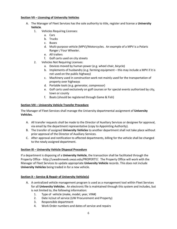# **Section VII – Licensing of University Vehicles**

- A. The Manager of Fleet Services has the sole authority to title, register and license a **University Vehicle**.
	- 1. Vehicles Requiring Licenses:
		- a. Cars
		- b. Trucks
		- c. Buses
		- d. Multi-purpose vehicle (MPV)/Motorcycles. An example of a MPV is a Polaris Ranger / Four Wheeler.
		- e. All trailers
		- f. Golf carts used on city streets
	- 2. Vehicles Not Requiring Licenses:
		- a. Devices moved by human power (e.g. wheel chair, bicycle)
		- b. Implements of husbandry (e.g. farming equipment this may include a MPV if it is not used on the public highway)
		- c. Machinery used in construction work not mainly used for the transportation of property over highways
		- d. Portable tools (e.g. generator, compressor)
		- e. Golf carts used exclusively on golf courses or for special events authorized by city, town or county
		- f. Boats (should be registered through Game & Fish)

#### **Section VIII – University Vehicle Transfer Procedure**

The Manager of Fleet Services shall manage the University departmental assignment of **University Vehicles.** 

- A. All transfer requests shall be made to the Director of Auxiliary Services or designee for approval, via email by the department representative (copy to Appointing Authority).
- B. The transfer of assigned **University Vehicles** to another department shall not take place without prior approval of the Director of Auxiliary Services.
- C. After approval and notification to affected departments, billing for the vehicle shall be changed to the newly assigned department.

#### **Section IX – University Vehicle Disposal Procedure**

If a department is disposing of a **University Vehicle**, the transaction shall be facilitated through the Property Office - http://uwadmnweb.uwyo.edu/PROPERTY/. The Property Office will work with the Manager of Fleet Services to update appropriate **University Vehicle** records. This does not include **University Vehicles** being traded in for a new vehicle.

#### **Section X – Service & Repair of University Vehicle(s)**

- A. A centralized vehicle management program is used as a management tool within Fleet Services for all **University Vehicles**. An electronic file is maintained through this system and includes, but is not limited to, the following information:
	- 1. Type of vehicle (make, model, year, VIN#)
	- 2. Date in/out of service (UW Procurement and Property)
	- 3. Responsible department
	- 4. Work Order numbers and dates of service and repairs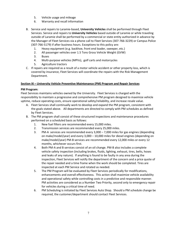- 5. Vehicle usage and mileage
- 6. Warranty and recall information
- B. Service and repairs to Laramie-based, **University Vehicles** shall be performed through Fleet Services. Service and repairs to **University Vehicles** based outside of Laramie or while traveling outside of Laramie shall be performed by a commercial or state entity authorized in advance by the Manager of Fleet Services via a phone call to Fleet Services (307-766-3229) or Campus Police (307-766-5179) if after business hours. Exceptions to this policy are:
	- 1. Heavy equipment (e.g. backhoe, front end loader, sweeper, etc.)
	- 2. All passenger vehicles over 1.5 Tons Gross Vehicle Weight (GVW)
	- 3. Buses
	- 4. Multi-purpose vehicles (MPVs), golf carts and motorcycles
	- 5. Agriculture tractors
- C. If repairs are required as a result of a motor vehicle accident or other property loss, which is covered by insurance, Fleet Services will coordinate the repairs with the Risk Management Department.

# **Section XI – University Vehicle Preventive Maintenance (PM) Program and Repair Services**

# **PM Program:**

Fleet Services maintains vehicles owned by the University. Fleet Services is charged with the responsibility to maintain a progressive and comprehensive PM program designed to maximize vehicle uptime, reduce operating costs, ensure operational safety/reliability, and increase resale value.

- A. Fleet Services shall continually work to develop and expand the PM program, consistent with the goals stated above. All departments are directed to comply with PM schedules as defined by Fleet Services.
- B. The PM program shall consist of these structured inspections and maintenance procedures performed on a scheduled basis as follows:
	- 1. New fuel filters are recommended every 15,000 miles.
	- 2. Transmission services are recommended every 25,000 miles.
	- 3. PM-A services are recommended every 3,000 7,000 miles for gas engines (depending on make/model/year) and every 3,000 – 10,000 miles for diesel engines (depending on make/model/year) PM-B services are recommended every 12,000 miles or every 12 months, whichever occurs first.
	- 4. Both PM-A and B services consist of an oil change. PM-B also includes a complete vehicle safety inspection (including brakes, fluids, lighting, exhaust, tires, belts, hoses and leaks of any nature). If anything is found to be faulty in any area during the inspection, Fleet Services will notify the department of the concern and a price quote of the repair needed and a time frame when the work should be completed. Tires are inspected at each PM Service and rotated as needed.
	- 5. The PM Program will be evaluated by Fleet Services periodically for modifications, enhancements and overall effectiveness. This action shall maximize vehicle availability and operational safety while controlling costs in a predictive and responsible manner. PM activities are considered as a Number Two Priority, second only to emergency repair for vehicles during a critical time of need.
	- 6. PM Scheduling is initiated by Fleet Services Auto Shop. Should a PM schedule change be required, the customer/department should contact Fleet Services.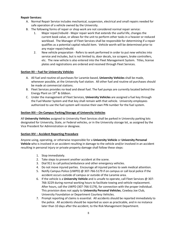# **Repair Services:**

- A. Normal Repair Service includes mechanical, suspension, electrical and small repairs needed for safe operation of a vehicle owned by the University.
- B. The following forms of repair or shop work are not considered normal repair service:
	- 1. Major repair/rebuild Major repair work that extends the useful life, changes the current book value, or allows for the unit to perform other tasks in a heavier or reduced workload. The Manager of Fleet Services shall be responsible for determining if a repair qualifies as a potential capital rebuild item. Vehicle worth will be determined prior to any major repair/rebuild.
	- 2. New vehicle preparation Refers to work performed in order to put new vehicles into service and includes, but is not limited to, door decals, ice scrapers, brake controllers, etc. The new vehicle is also entered into the Fleet Management System. Titles, license plates and registrations are ordered and received through Fleet Services.

# **Section XII – Fuel for University Vehicles**

- A. All fuel and routine oil purchases for Laramie-based, **University Vehicles** shall be made, whenever possible, at the University fuel station. All other fuel and routine oil purchases should be made at commercial stations.
- B. Fleet Services provides no-lead and diesel fuel. The fuel pumps are currently located behind the Energy Plant on  $19^{th}$  & Gibbon.
- C. Under the management of Fleet Services, **University Vehicles** are assigned a fuel key through the Fuel Master System and that key shall remain with that vehicle. University employees authorized to use the fuel system will receive their own PIN number for the fuel system.

# **Section XIII – On-Campus Parking/Storage of University Vehicles**

All **University Vehicles** assigned to University Fleet Services shall be parked in University parking lots designated for University, State, or Federal vehicles, or in the University storage lot, as assigned by the Vice President for Administration or designee.

#### **Section XIV – Accident Reporting Procedure**

Anyone using, operating, or otherwise responsible for a **University Vehicle** or **University Personal Vehicle** who is involved in an accident resulting in damage to the vehicle and/or involved in an accident resulting in personal injury or private property damage shall follow these steps:

- 1. Stop immediately.
- 2. Take steps to prevent another accident at the scene.
- 3. Dial 911 to call police/ambulance and other emergency vehicles.
- 4. Do not move injured parties. Encourage all injured parties to seek medical attention.
- 5. Notify Campus Police (UWPD) @ 307-766-5179 if on campus or call local police if the accident occurs outside of campus or outside of the Laramie area.
- 6. If the vehicle is a **University Vehicle** and is unsafe to operate, call Fleet Services @ 307- 766-3229 during normal working hours to facilitate towing and vehicle replacement. After hours, call the UWPD (307-766-5179), for connection with the proper individual. This provision does not apply to **University Personal Vehicles**, Cowboy Joe Club, University Foundation or Department Courtesy Vehicles.
- 7. Prompt reporting of claims is essential. All accidents should be reported immediately to the police. All accidents should be reported as soon as practicable, and in no instance later than 10 days after the accident, to the Risk Management Department.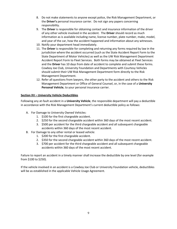- 8. Do not make statements to anyone except police, the Risk Management Department, or the **Driver's** personal insurance carrier. Do not sign any papers concerning responsibility.
- 9. The **Driver** is responsible for obtaining contact and insurance information of the driver of any other vehicle involved in the accident. The **Driver** should record as much information as is available including name, license number, plate number, make, model, and year of the car, how the accident happened and information about any witnesses.
- 10. Notify your department head immediately.
- 11. The **Driver** is responsible for completing and returning any forms required by law in the jurisdiction where the accident occurred (such as the State Accident Report Form to the State Department of Motor Vehicles) as well as the UW Risk Management Department Accident Report Form to Fleet Services. Both forms may be obtained at Fleet Services and the **Driver** has 10 days from date of accident to complete and submit these forms. Cowboy Joe Club, University Foundation and Departments with Courtesy Vehicles should submit their UW Risk Management Department form directly to the Risk Management Department.
- 12. Refer all questions from lawyers, the other party to the accident and others to the Risk Management Department or Office of General Counsel, or, in the case of a **University Personal Vehicle**, to your personal insurance carrier.

# **Section XV – University Vehicle Deductibles**

Following any at-fault accident in a **University Vehicle**, the responsible department will pay a deductible in accordance with the Risk Management Department's current deductible policy as follows:

- A. For Damage to University Owned Vehicles:
	- 1. \$100 for the first chargeable accident.
	- 2. \$250 for the second chargeable accident within 360 days of the most recent accident.
	- 3. \$500 per accident for the third chargeable accident and all subsequent chargeable accidents within 360 days of the most recent accident.
- B. For Damage to any other rental or leased vehicle:
	- 1. \$200 for the first chargeable accident.
	- 2. \$350 for the second chargeable accident within 360 days of the most recent accident.
	- 3. \$700 per accident for the third chargeable accident and all subsequent chargeable accidents within 360 days of the most recent accident.

Failure to report an accident in a timely manner shall increase the deductible by one level (for example from \$100 to \$250).

If the vehicle involved in an accident is a Cowboy Joe Club or University Foundation vehicle, deductibles will be as established in the applicable Vehicle Usage Agreement.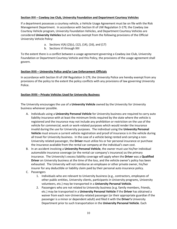# **Section XVI – Cowboy Joe Club, University Foundation and Department Courtesy Vehicles**

If a department possesses a courtesy vehicle, a Vehicle Usage Agreement must be on file with the Risk Management Department. In accordance with Section III of UW Regulation 3-179, the Cowboy Joe Courtesy Vehicle program, University Foundation Vehicles, and Department Courtesy Vehicles are considered **University Vehicles** but are hereby exempt from the following provisions of the Official University Vehicle Policy:

- a. Sections V(A) (2)(c), (12), (14), (16), and (17)
- b. Sections VI through XIII

To the extent there is a conflict between a usage agreement governing a Cowboy Joe Club, University Foundation or Department Courtesy Vehicle and this Policy, the provisions of the usage agreement shall govern.

# **Section XVII – University Police and/or Law Enforcement Officials**

In accordance with Section III of UW Regulation 3-179, the University Police are hereby exempt from any provisions of the policy to the extent the policy conflicts with any provisions of law governing University Police.

# **Section XVIII – Private Vehicles Used for University Business**

The University encourages the use of a **University Vehicle** owned by the University for University business whenever possible.

- A. Individuals using a **University Personal Vehicle** for University business are required to carry auto liability insurance with at least the minimum limits required by the state where the vehicle is registered and the insurance may not include any prohibition or restriction on the use of the vehicle for commercial, work or work-related purposes which would render the insurance invalid during the use for University purposes. The individual using the **University Personal Vehicle** must ensure a current vehicle registration and proof of insurance is in the vehicle during all travel for University business. In the case of a vehicle being rented and carrying a non-University related passenger, the **Driver** must utilize his or her personal insurance or purchase the insurance available from the rental car company at the individual's own cost.
- B. In an accident involving a **University Personal Vehicle**, the owner must use his/her individual automobile insurance coverage (or the rental car company's insurance) as the primary insurance. The University's excess liability coverage will apply when the **Driver** was a **Qualified Driver** on University business at the time of the loss, and the vehicle owner's policy has been exhausted. The University will not reimburse an employee or other private owner, his/her insurer for any deductible or liability claim paid by their personal auto insurance policy.
- C. Passengers
	- 1. Individuals who are relevant to University business (e.g., contractors, employees of other public entities, University clients, participants in University programs, University volunteers, etc.) may be transported in a **University Personal Vehicle**.
	- 2. Passengers who are not related to University business (e.g. family members, friends, etc.) may be transported in a **University Personal Vehicle** if the **Driver** has obtained a waiver from each non-University-related passenger (or their appropriate guardian if the passenger is a minor or dependent adult) and filed it with the **Driver's** University Department prior to such transportation in the **University Personal Vehicle**. Each